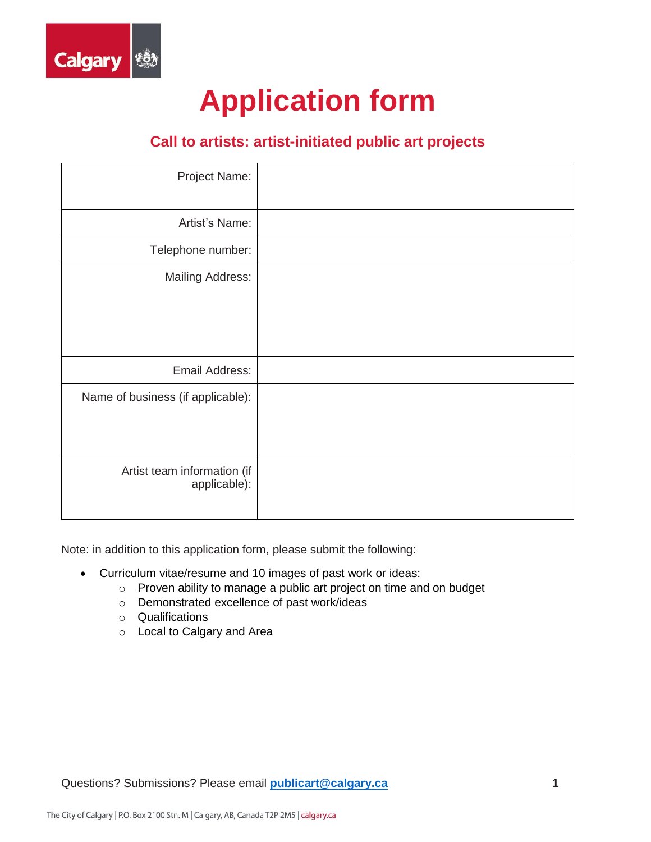

# **Application form**

### **Call to artists: artist-initiated public art projects**

| Project Name:                               |
|---------------------------------------------|
| Artist's Name:                              |
| Telephone number:                           |
| <b>Mailing Address:</b>                     |
| Email Address:                              |
| Name of business (if applicable):           |
| Artist team information (if<br>applicable): |

Note: in addition to this application form, please submit the following:

- Curriculum vitae/resume and 10 images of past work or ideas:
	- o Proven ability to manage a public art project on time and on budget
	- o Demonstrated excellence of past work/ideas
	- o Qualifications
	- o Local to Calgary and Area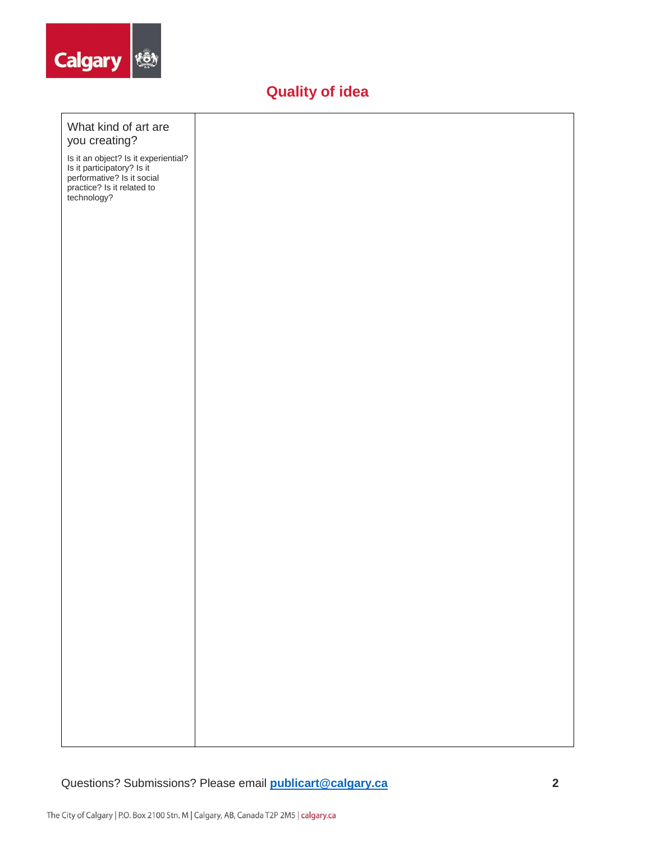

# **Quality of idea**

| What kind of art are<br>you creating?                                                                                                         |  |  |  |
|-----------------------------------------------------------------------------------------------------------------------------------------------|--|--|--|
| Is it an object? Is it experiential?<br>Is it participatory? Is it<br>performative? Is it social<br>practice? Is it related to<br>technology? |  |  |  |
|                                                                                                                                               |  |  |  |
|                                                                                                                                               |  |  |  |
|                                                                                                                                               |  |  |  |
|                                                                                                                                               |  |  |  |
|                                                                                                                                               |  |  |  |
|                                                                                                                                               |  |  |  |
|                                                                                                                                               |  |  |  |
|                                                                                                                                               |  |  |  |
|                                                                                                                                               |  |  |  |
|                                                                                                                                               |  |  |  |
|                                                                                                                                               |  |  |  |
|                                                                                                                                               |  |  |  |
|                                                                                                                                               |  |  |  |
|                                                                                                                                               |  |  |  |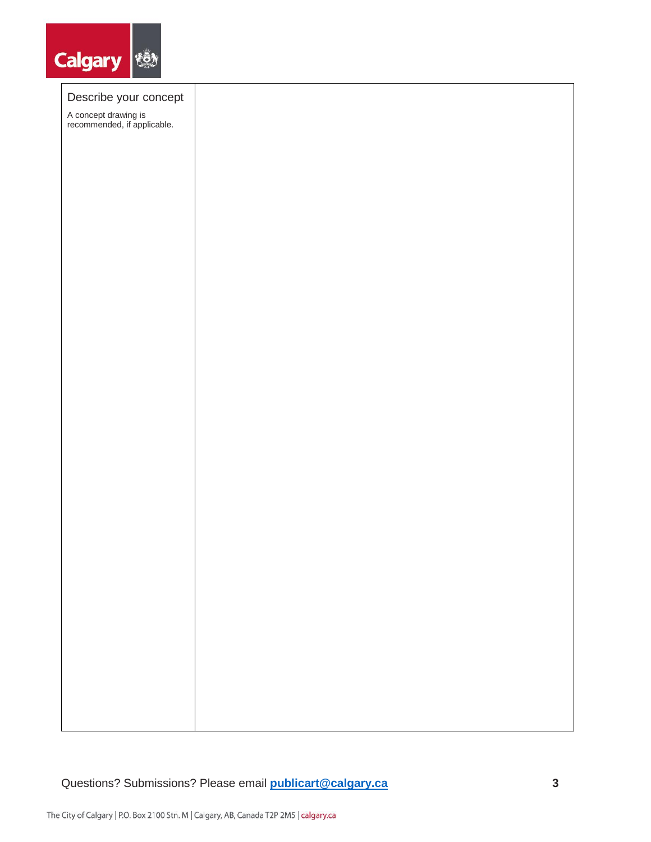

#### Describe your concept

A concept drawing is recommended, if applicable.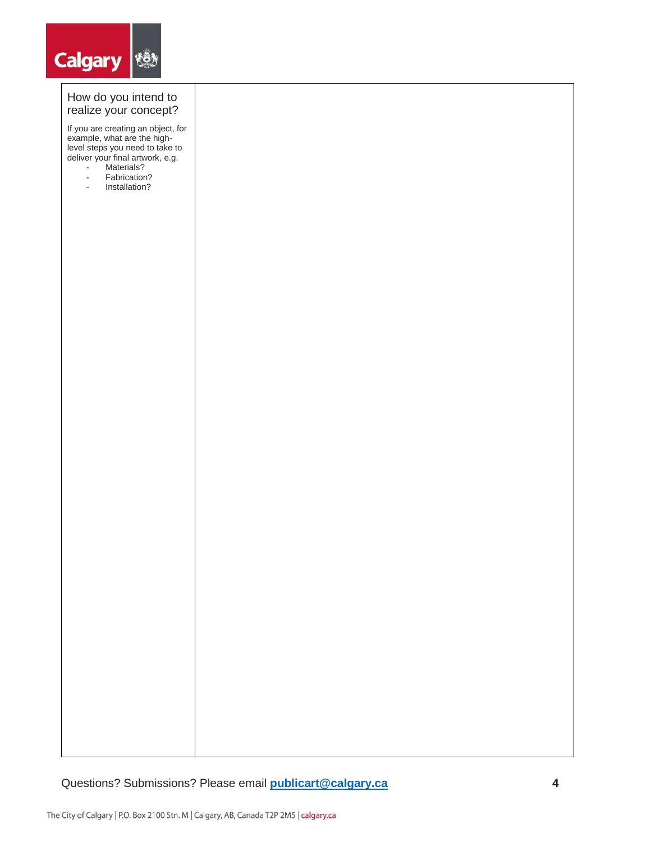

#### How do you intend to realize your concept?

If you are creating an object, for example, what are the highlevel steps you need to take to deliver your final artwork, e.g.

- Materials?
- Fabrication?<br>- Installation?
- Installation?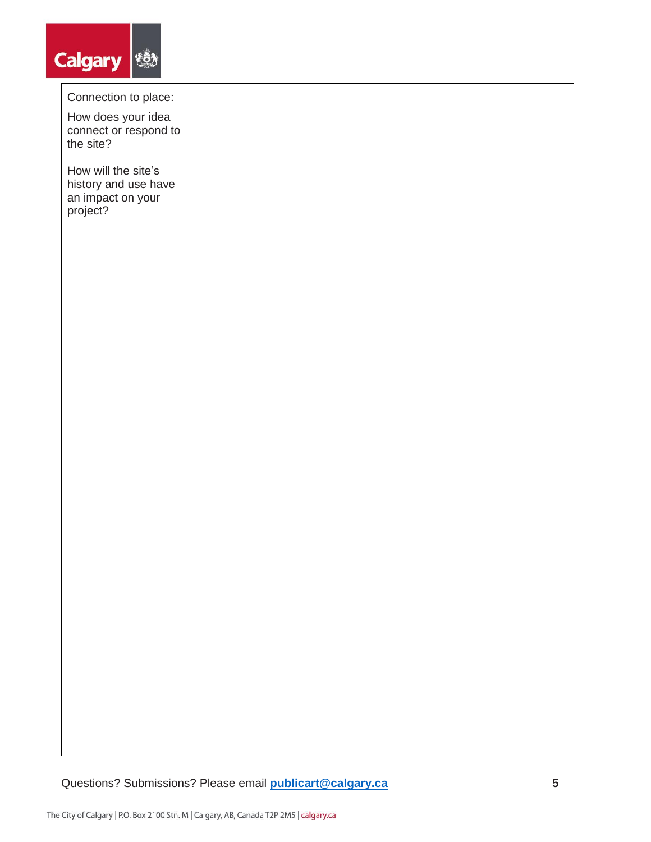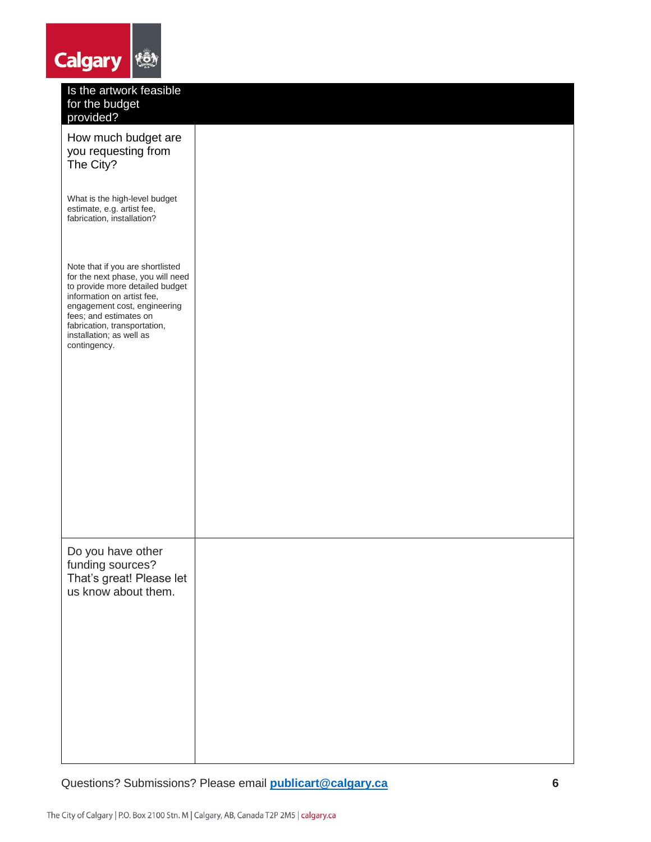| <b>Calgary</b><br>Kō                                                                                                                                                                                                                                                         |  |
|------------------------------------------------------------------------------------------------------------------------------------------------------------------------------------------------------------------------------------------------------------------------------|--|
| Is the artwork feasible<br>for the budget<br>provided?                                                                                                                                                                                                                       |  |
| How much budget are<br>you requesting from<br>The City?                                                                                                                                                                                                                      |  |
| What is the high-level budget<br>estimate, e.g. artist fee,<br>fabrication, installation?                                                                                                                                                                                    |  |
| Note that if you are shortlisted<br>for the next phase, you will need<br>to provide more detailed budget<br>information on artist fee,<br>engagement cost, engineering<br>fees; and estimates on<br>fabrication, transportation,<br>installation; as well as<br>contingency. |  |
|                                                                                                                                                                                                                                                                              |  |
| Do you have other<br>funding sources?<br>That's great! Please let<br>us know about them.                                                                                                                                                                                     |  |
|                                                                                                                                                                                                                                                                              |  |
|                                                                                                                                                                                                                                                                              |  |

Questions? Submissions? Please email **[publicart@calgary.ca](mailto:publicart@calgary.ca) 6**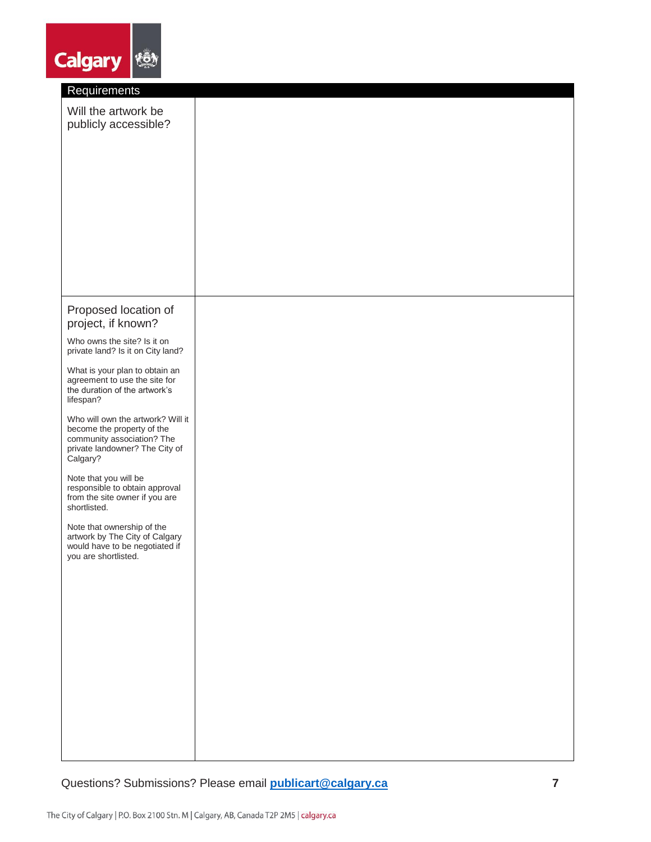| <b>Calgary</b><br><b>KO</b>                                                                                                                 |  |
|---------------------------------------------------------------------------------------------------------------------------------------------|--|
| Requirements                                                                                                                                |  |
| Will the artwork be<br>publicly accessible?                                                                                                 |  |
|                                                                                                                                             |  |
|                                                                                                                                             |  |
|                                                                                                                                             |  |
|                                                                                                                                             |  |
| Proposed location of<br>project, if known?                                                                                                  |  |
| Who owns the site? Is it on<br>private land? Is it on City land?                                                                            |  |
| What is your plan to obtain an<br>agreement to use the site for<br>the duration of the artwork's<br>lifespan?                               |  |
| Who will own the artwork? Will it<br>become the property of the<br>community association? The<br>private landowner? The City of<br>Calgary? |  |
| Note that you will be<br>responsible to obtain approval<br>from the site owner if you are<br>shortlisted.                                   |  |
| Note that ownership of the<br>artwork by The City of Calgary<br>would have to be negotiated if<br>you are shortlisted.                      |  |
|                                                                                                                                             |  |
|                                                                                                                                             |  |
|                                                                                                                                             |  |
|                                                                                                                                             |  |
|                                                                                                                                             |  |
|                                                                                                                                             |  |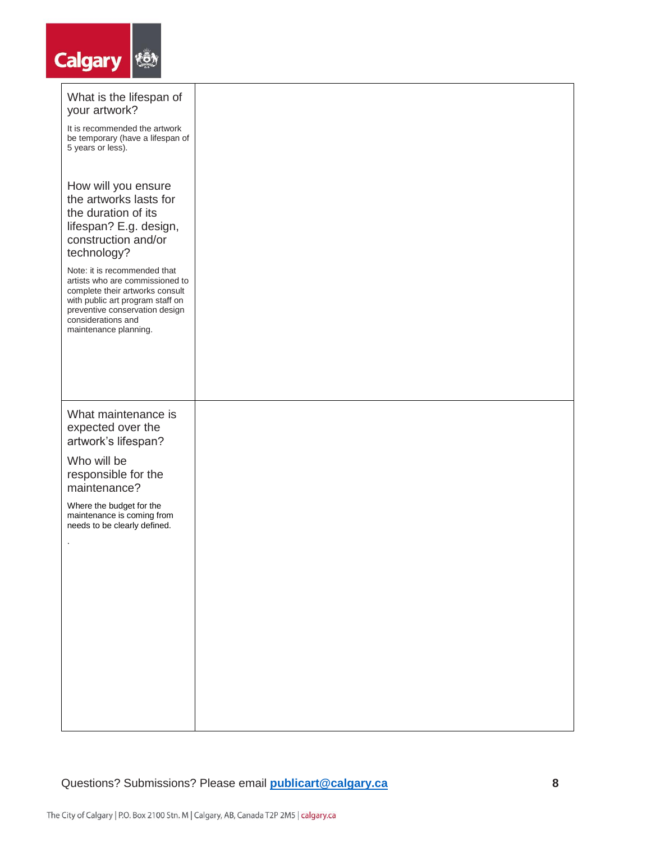| <b>Calgary</b><br>短                                                                                                                                                                                                     |  |
|-------------------------------------------------------------------------------------------------------------------------------------------------------------------------------------------------------------------------|--|
| What is the lifespan of<br>your artwork?                                                                                                                                                                                |  |
| It is recommended the artwork<br>be temporary (have a lifespan of<br>5 years or less).                                                                                                                                  |  |
| How will you ensure<br>the artworks lasts for<br>the duration of its<br>lifespan? E.g. design,<br>construction and/or<br>technology?                                                                                    |  |
| Note: it is recommended that<br>artists who are commissioned to<br>complete their artworks consult<br>with public art program staff on<br>preventive conservation design<br>considerations and<br>maintenance planning. |  |
|                                                                                                                                                                                                                         |  |
| What maintenance is<br>expected over the<br>artwork's lifespan?                                                                                                                                                         |  |
| Who will be<br>responsible for the<br>maintenance?                                                                                                                                                                      |  |
| Where the budget for the<br>maintenance is coming from<br>needs to be clearly defined.                                                                                                                                  |  |
| $\cdot$                                                                                                                                                                                                                 |  |
|                                                                                                                                                                                                                         |  |
|                                                                                                                                                                                                                         |  |
|                                                                                                                                                                                                                         |  |
|                                                                                                                                                                                                                         |  |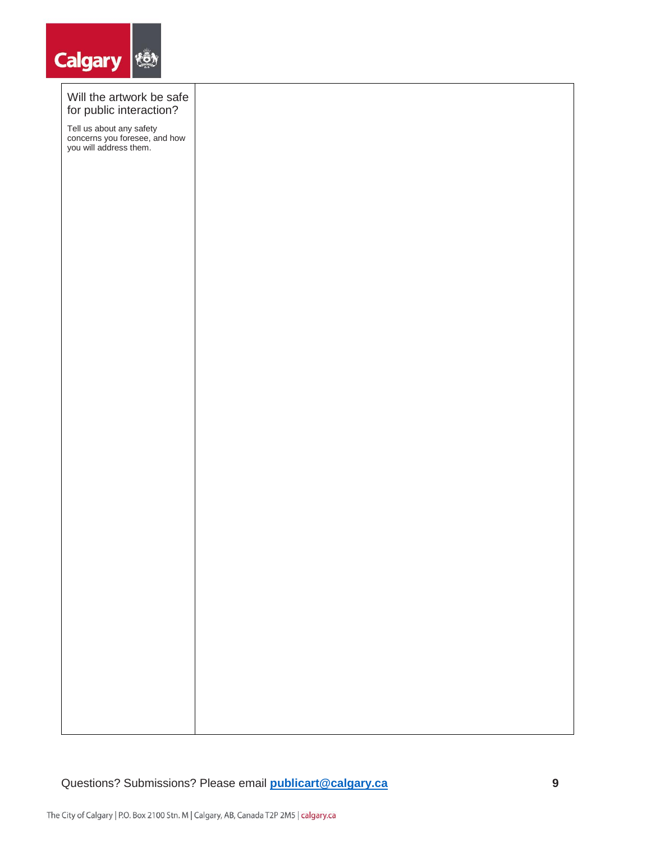

#### Will the artwork be safe for public interaction?

Tell us about any safety concerns you foresee, and how you will address them.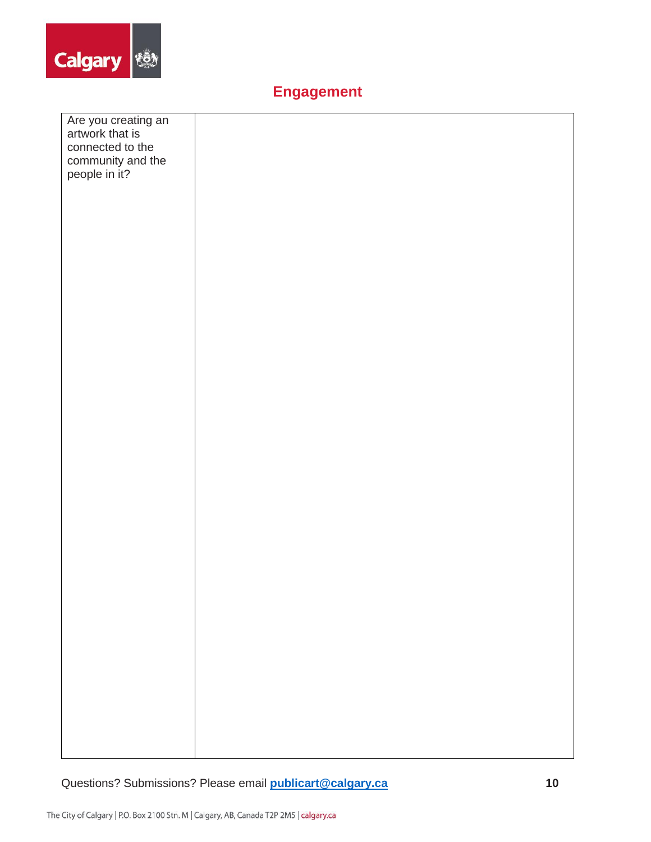

### **Engagement**

| Are you creating an<br>artwork that is |  |
|----------------------------------------|--|
| connected to the                       |  |
|                                        |  |
| community and the<br>people in it?     |  |
|                                        |  |
|                                        |  |
|                                        |  |
|                                        |  |
|                                        |  |
|                                        |  |
|                                        |  |
|                                        |  |
|                                        |  |
|                                        |  |
|                                        |  |
|                                        |  |
|                                        |  |
|                                        |  |
|                                        |  |
|                                        |  |
|                                        |  |
|                                        |  |
|                                        |  |
|                                        |  |
|                                        |  |
|                                        |  |
|                                        |  |
|                                        |  |
|                                        |  |
|                                        |  |
|                                        |  |
|                                        |  |
|                                        |  |
|                                        |  |
|                                        |  |
|                                        |  |
|                                        |  |
|                                        |  |
|                                        |  |
|                                        |  |
|                                        |  |
|                                        |  |
|                                        |  |
|                                        |  |
|                                        |  |
|                                        |  |
|                                        |  |
|                                        |  |
|                                        |  |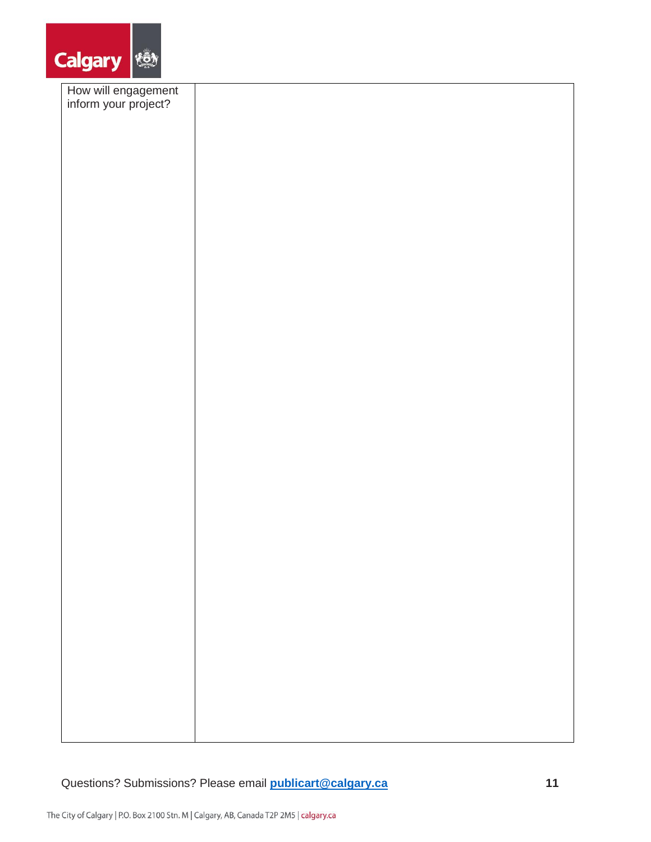

| How will engagement<br>inform your project? |  |
|---------------------------------------------|--|
|                                             |  |
|                                             |  |
|                                             |  |
|                                             |  |
|                                             |  |
|                                             |  |
|                                             |  |
|                                             |  |
|                                             |  |
|                                             |  |
|                                             |  |
|                                             |  |
|                                             |  |
|                                             |  |
|                                             |  |
|                                             |  |
|                                             |  |
|                                             |  |
|                                             |  |
|                                             |  |
|                                             |  |
|                                             |  |
|                                             |  |
|                                             |  |
|                                             |  |
|                                             |  |
|                                             |  |
|                                             |  |
|                                             |  |
|                                             |  |
|                                             |  |
|                                             |  |
|                                             |  |
|                                             |  |
|                                             |  |
|                                             |  |
|                                             |  |
|                                             |  |
|                                             |  |
|                                             |  |
|                                             |  |
|                                             |  |
|                                             |  |
|                                             |  |
|                                             |  |
|                                             |  |
|                                             |  |
|                                             |  |
|                                             |  |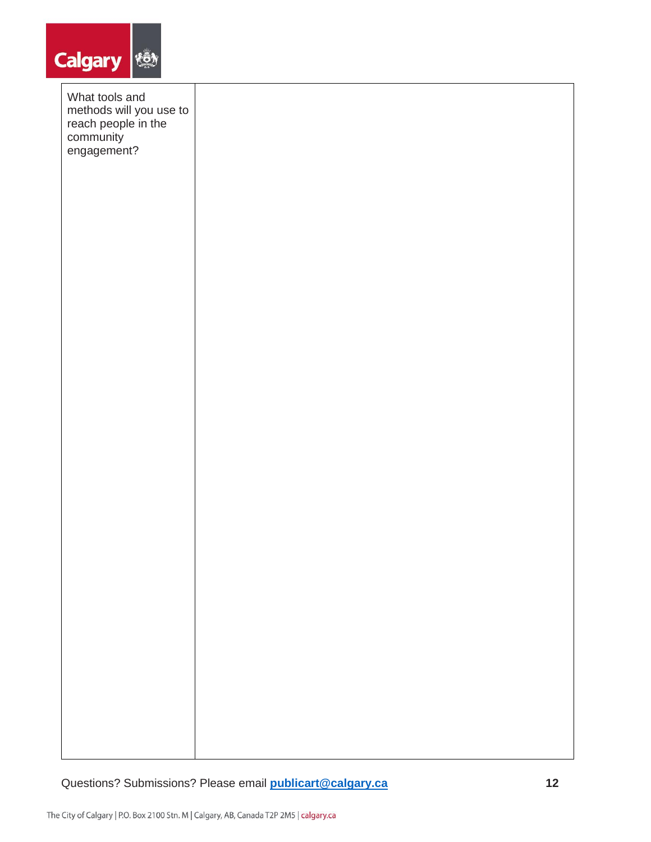

| What tools and                                                             |  |  |  |
|----------------------------------------------------------------------------|--|--|--|
| methods will you use to<br>reach people in the<br>community<br>engagement? |  |  |  |
|                                                                            |  |  |  |
|                                                                            |  |  |  |
|                                                                            |  |  |  |
|                                                                            |  |  |  |
|                                                                            |  |  |  |
|                                                                            |  |  |  |
|                                                                            |  |  |  |
|                                                                            |  |  |  |
|                                                                            |  |  |  |
|                                                                            |  |  |  |
|                                                                            |  |  |  |
|                                                                            |  |  |  |
|                                                                            |  |  |  |
|                                                                            |  |  |  |
|                                                                            |  |  |  |
|                                                                            |  |  |  |
|                                                                            |  |  |  |
|                                                                            |  |  |  |
|                                                                            |  |  |  |
|                                                                            |  |  |  |
|                                                                            |  |  |  |
|                                                                            |  |  |  |
|                                                                            |  |  |  |
|                                                                            |  |  |  |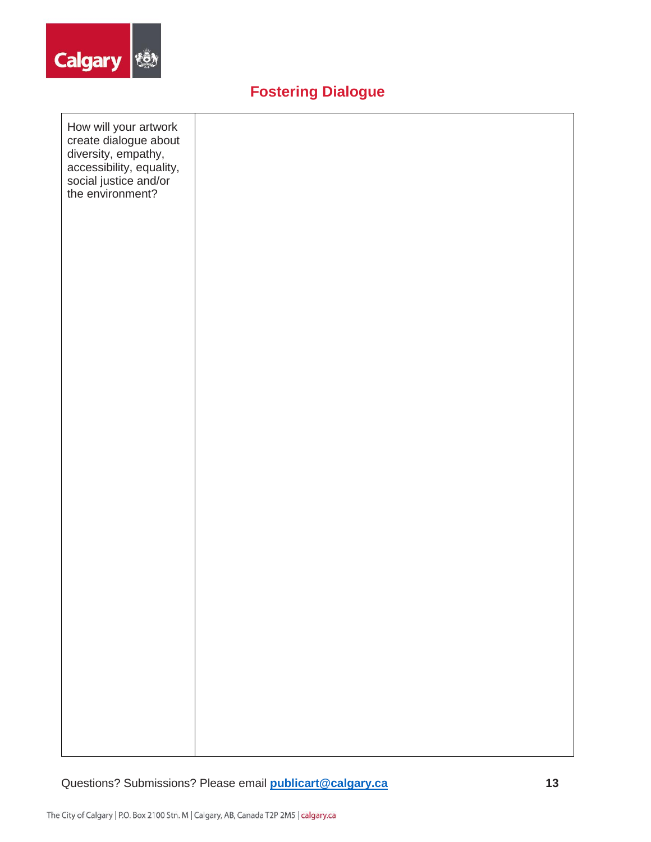

# **Fostering Dialogue**

| How will your artwork<br>create dialogue about<br>diversity, empathy,<br>accessibility, equality,<br>social justice and/or<br>the environment? |  |  |  |
|------------------------------------------------------------------------------------------------------------------------------------------------|--|--|--|
|                                                                                                                                                |  |  |  |
|                                                                                                                                                |  |  |  |
|                                                                                                                                                |  |  |  |
|                                                                                                                                                |  |  |  |
|                                                                                                                                                |  |  |  |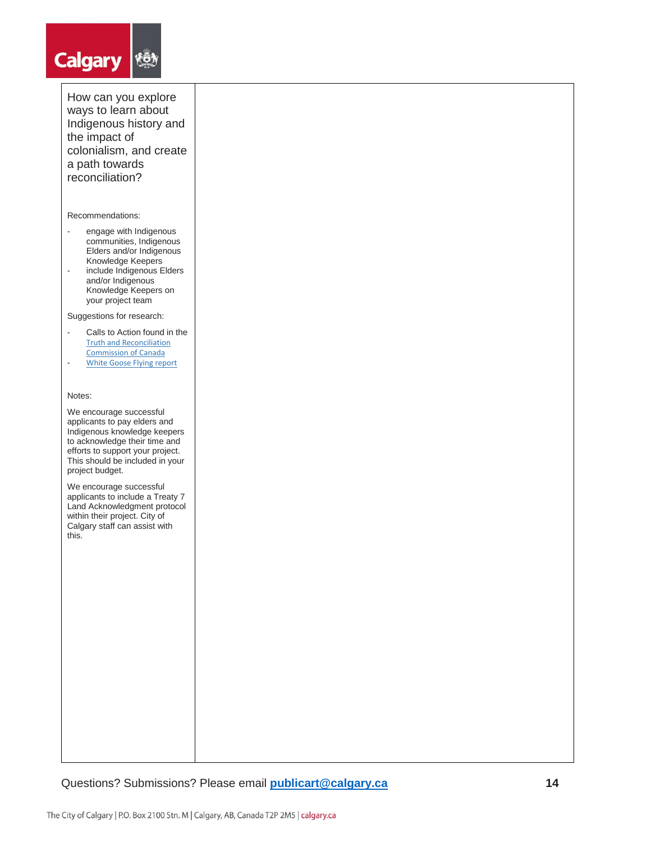# **Calgary |** *\*

How can you explore ways to learn about Indigenous history and the impact of colonialism, and create a path towards reconciliation?

#### Recommendations:

- engage with Indigenous communities, Indigenous Elders and/or Indigenous Knowledge Keepers
- include Indigenous Elders and/or Indigenous Knowledge Keepers on your project team

Suggestions for research:

- Calls to Action found in the [Truth and Reconciliation](http://nctr.ca/reports.php)  [Commission of Canada](http://nctr.ca/reports.php)
- [White Goose Flying report](https://www.calgary.ca/content/dam/www/csps/cns/documents/cauac/white-goose-flying-calls-to-action-cauac.pdf)

#### Notes:

We encourage successful applicants to pay elders and Indigenous knowledge keepers to acknowledge their time and efforts to support your project. This should be included in your project budget.

We encourage successful applicants to include a Treaty 7 Land Acknowledgment protocol within their project. City of Calgary staff can assist with this.